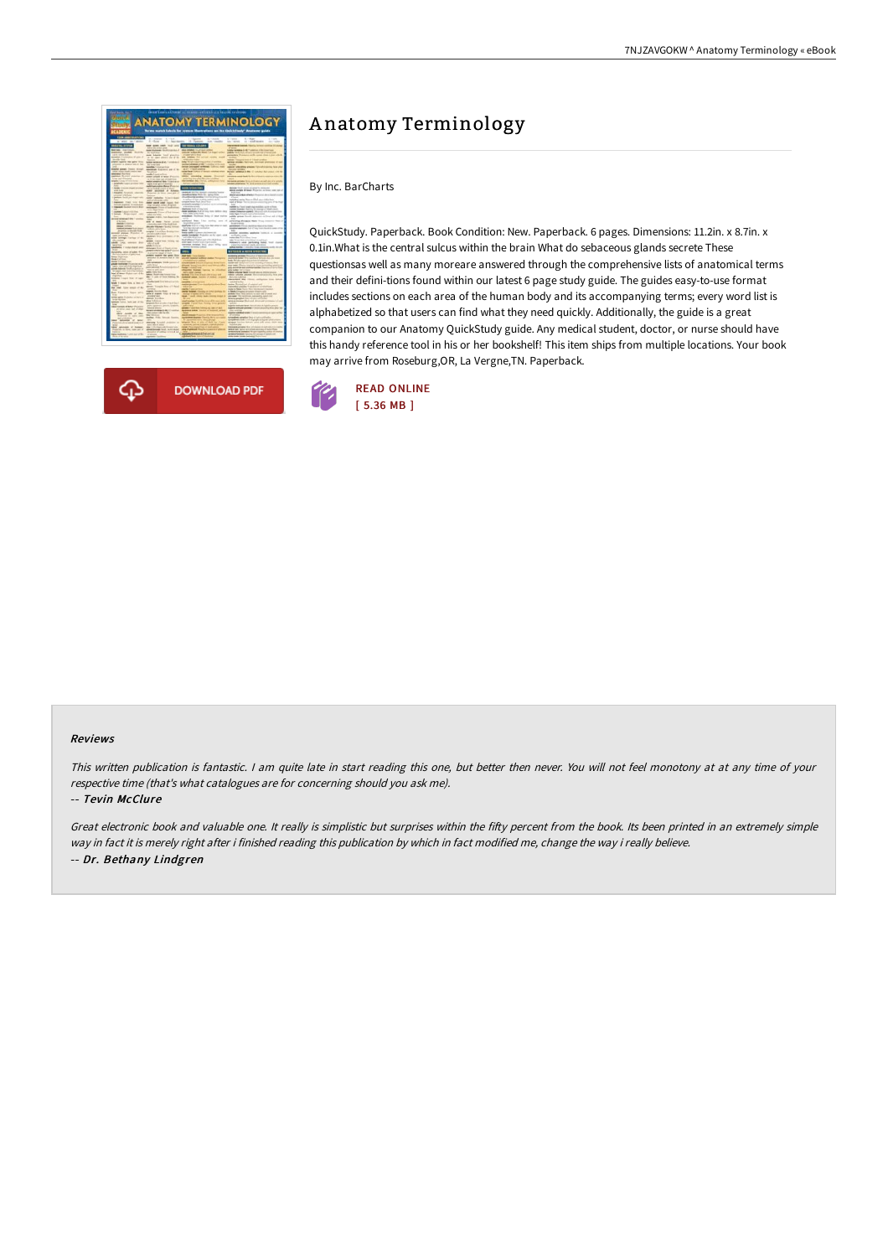



# A natomy Terminology

By Inc. BarCharts

QuickStudy. Paperback. Book Condition: New. Paperback. 6 pages. Dimensions: 11.2in. x 8.7in. x 0.1in.What is the central sulcus within the brain What do sebaceous glands secrete These questionsas well as many moreare answered through the comprehensive lists of anatomical terms and their defini-tions found within our latest 6 page study guide. The guides easy-to-use format includes sections on each area of the human body and its accompanying terms; every word list is alphabetized so that users can find what they need quickly. Additionally, the guide is a great companion to our Anatomy QuickStudy guide. Any medical student, doctor, or nurse should have this handy reference tool in his or her bookshelf! This item ships from multiple locations. Your book may arrive from Roseburg,OR, La Vergne,TN. Paperback.



#### Reviews

This written publication is fantastic. <sup>I</sup> am quite late in start reading this one, but better then never. You will not feel monotony at at any time of your respective time (that's what catalogues are for concerning should you ask me).

#### -- Tevin McClure

Great electronic book and valuable one. It really is simplistic but surprises within the fifty percent from the book. Its been printed in an extremely simple way in fact it is merely right after i finished reading this publication by which in fact modified me, change the way i really believe. -- Dr. Bethany Lindgren